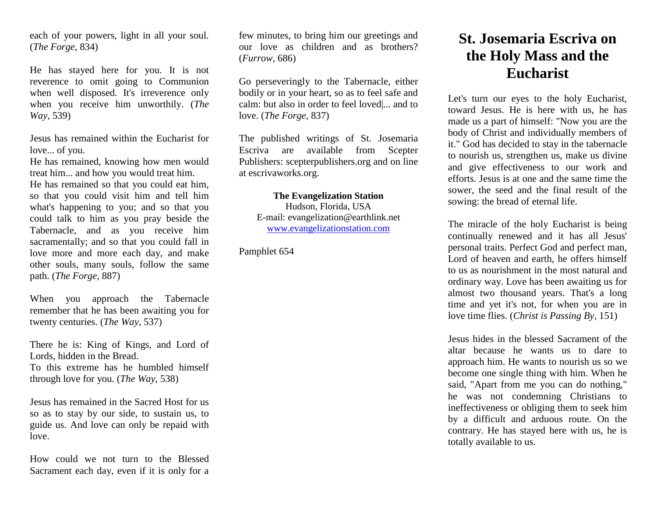each of your powers, light in all your soul. (*The Forge*, 834)

He has stayed here for you. It is not reverence to omit going to Communion when well disposed. It's irreverence only when you receive him unworthily. (*The Way*, 539)

Jesus has remained within the Eucharist for love... of you.

He has remained, knowing how men would treat him... and how you would treat him.

He has remained so that you could eat him, so that you could visit him and tell him what's happening to you; and so that you could talk to him as you pray beside the Tabernacle, and as you receive him sacramentally; and so that you could fall in love more and more each day, and make other souls, many souls, follow the same path. (*The Forge*, 887)

When you approach the Tabernacle remember that he has been awaiting you for twenty centuries. (*The Way*, 537)

There he is: King of Kings, and Lord of Lords, hidden in the Bread. To this extreme has he humbled himself through love for you. (*The Way*, 538)

Jesus has remained in the Sacred Host for us so as to stay by our side, to sustain us, to guide us. And love can only be repaid with love.

How could we not turn to the Blessed Sacrament each day, even if it is only for a few minutes, to bring him our greetings and our love as children and as brothers? (*Furrow*, 686)

Go perseveringly to the Tabernacle, either bodily or in your heart, so as to feel safe and calm: but also in order to feel loved|... and to love. (*The Forge*, 837)

The published writings of St. Josemaria Escriva are available from Scepter Publishers: scepterpublishers.org and on line at escrivaworks.org.

**The Evangelization Station** Hudson, Florida, USA E-mail: evangelization@earthlink.net [www.evangelizationstation.com](http://www.pjpiisoe.org/)

Pamphlet 654

## **St. Josemaria Escriva on the Holy Mass and the Eucharist**

Let's turn our eyes to the holy Eucharist, toward Jesus. He is here with us, he has made us a part of himself: "Now you are the body of Christ and individually members of it." God has decided to stay in the tabernacle to nourish us, strengthen us, make us divine and give effectiveness to our work and efforts. Jesus is at one and the same time the sower, the seed and the final result of the sowing: the bread of eternal life.

The miracle of the holy Eucharist is being continually renewed and it has all Jesus' personal traits. Perfect God and perfect man, Lord of heaven and earth, he offers himself to us as nourishment in the most natural and ordinary way. Love has been awaiting us for almost two thousand years. That's a long time and yet it's not, for when you are in love time flies. (*Christ is Passing By*, 151)

Jesus hides in the blessed Sacrament of the altar because he wants us to dare to approach him. He wants to nourish us so we become one single thing with him. When he said, "Apart from me you can do nothing," he was not condemning Christians to ineffectiveness or obliging them to seek him by a difficult and arduous route. On the contrary. He has stayed here with us, he is totally available to us.